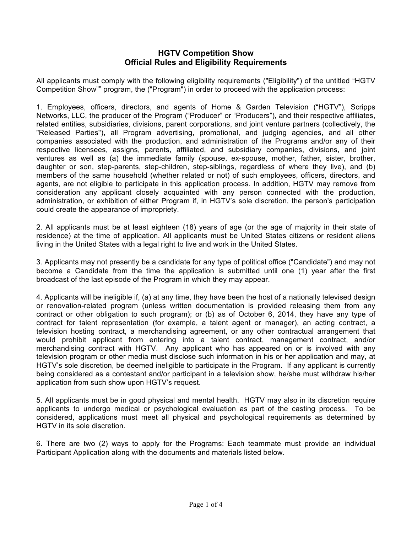## **HGTV Competition Show Official Rules and Eligibility Requirements**

All applicants must comply with the following eligibility requirements ("Eligibility") of the untitled "HGTV Competition Show"" program, the ("Program") in order to proceed with the application process:

1. Employees, officers, directors, and agents of Home & Garden Television ("HGTV"), Scripps Networks, LLC, the producer of the Program ("Producer" or "Producers"), and their respective affiliates, related entities, subsidiaries, divisions, parent corporations, and joint venture partners (collectively, the "Released Parties"), all Program advertising, promotional, and judging agencies, and all other companies associated with the production, and administration of the Programs and/or any of their respective licensees, assigns, parents, affiliated, and subsidiary companies, divisions, and joint ventures as well as (a) the immediate family (spouse, ex-spouse, mother, father, sister, brother, daughter or son, step-parents, step-children, step-siblings, regardless of where they live), and (b) members of the same household (whether related or not) of such employees, officers, directors, and agents, are not eligible to participate in this application process. In addition, HGTV may remove from consideration any applicant closely acquainted with any person connected with the production, administration, or exhibition of either Program if, in HGTV's sole discretion, the person's participation could create the appearance of impropriety.

2. All applicants must be at least eighteen (18) years of age (or the age of majority in their state of residence) at the time of application. All applicants must be United States citizens or resident aliens living in the United States with a legal right to live and work in the United States.

3. Applicants may not presently be a candidate for any type of political office ("Candidate") and may not become a Candidate from the time the application is submitted until one (1) year after the first broadcast of the last episode of the Program in which they may appear.

4. Applicants will be ineligible if, (a) at any time, they have been the host of a nationally televised design or renovation-related program (unless written documentation is provided releasing them from any contract or other obligation to such program); or (b) as of October 6, 2014, they have any type of contract for talent representation (for example, a talent agent or manager), an acting contract, a television hosting contract, a merchandising agreement, or any other contractual arrangement that would prohibit applicant from entering into a talent contract, management contract, and/or merchandising contract with HGTV. Any applicant who has appeared on or is involved with any television program or other media must disclose such information in his or her application and may, at HGTV's sole discretion, be deemed ineligible to participate in the Program. If any applicant is currently being considered as a contestant and/or participant in a television show, he/she must withdraw his/her application from such show upon HGTV's request.

5. All applicants must be in good physical and mental health. HGTV may also in its discretion require applicants to undergo medical or psychological evaluation as part of the casting process. To be considered, applications must meet all physical and psychological requirements as determined by HGTV in its sole discretion.

6. There are two (2) ways to apply for the Programs: Each teammate must provide an individual Participant Application along with the documents and materials listed below.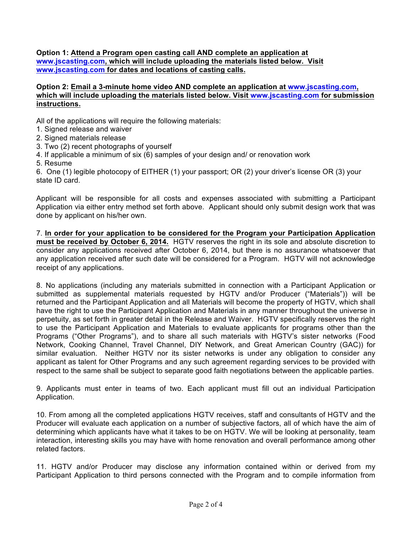**Option 1: Attend a Program open casting call AND complete an application at www.jscasting.com, which will include uploading the materials listed below. Visit www.jscasting.com for dates and locations of casting calls.**

## **Option 2: Email a 3-minute home video AND complete an application at www.jscasting.com, which will include uploading the materials listed below. Visit www.jscasting.com for submission instructions.**

All of the applications will require the following materials:

- 1. Signed release and waiver
- 2. Signed materials release
- 3. Two (2) recent photographs of yourself
- 4. If applicable a minimum of six (6) samples of your design and/ or renovation work
- 5. Resume

6. One (1) legible photocopy of EITHER (1) your passport; OR (2) your driver's license OR (3) your state ID card.

Applicant will be responsible for all costs and expenses associated with submitting a Participant Application via either entry method set forth above. Applicant should only submit design work that was done by applicant on his/her own.

7. **In order for your application to be considered for the Program your Participation Application must be received by October 6, 2014.** HGTV reserves the right in its sole and absolute discretion to consider any applications received after October 6, 2014, but there is no assurance whatsoever that any application received after such date will be considered for a Program. HGTV will not acknowledge receipt of any applications.

8. No applications (including any materials submitted in connection with a Participant Application or submitted as supplemental materials requested by HGTV and/or Producer ("Materials")) will be returned and the Participant Application and all Materials will become the property of HGTV, which shall have the right to use the Participant Application and Materials in any manner throughout the universe in perpetuity, as set forth in greater detail in the Release and Waiver. HGTV specifically reserves the right to use the Participant Application and Materials to evaluate applicants for programs other than the Programs ("Other Programs"), and to share all such materials with HGTV's sister networks (Food Network, Cooking Channel, Travel Channel, DIY Network, and Great American Country (GAC)) for similar evaluation. Neither HGTV nor its sister networks is under any obligation to consider any applicant as talent for Other Programs and any such agreement regarding services to be provided with respect to the same shall be subject to separate good faith negotiations between the applicable parties.

9. Applicants must enter in teams of two. Each applicant must fill out an individual Participation Application.

10. From among all the completed applications HGTV receives, staff and consultants of HGTV and the Producer will evaluate each application on a number of subjective factors, all of which have the aim of determining which applicants have what it takes to be on HGTV. We will be looking at personality, team interaction, interesting skills you may have with home renovation and overall performance among other related factors.

11. HGTV and/or Producer may disclose any information contained within or derived from my Participant Application to third persons connected with the Program and to compile information from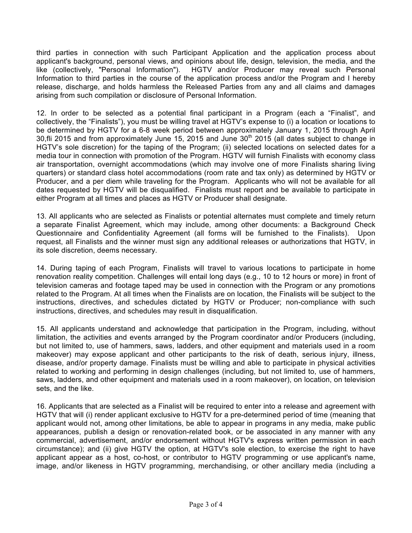third parties in connection with such Participant Application and the application process about applicant's background, personal views, and opinions about life, design, television, the media, and the like (collectively, "Personal Information"). HGTV and/or Producer may reveal such Personal Information to third parties in the course of the application process and/or the Program and I hereby release, discharge, and holds harmless the Released Parties from any and all claims and damages arising from such compilation or disclosure of Personal Information.

12. In order to be selected as a potential final participant in a Program (each a "Finalist", and collectively, the "Finalists"), you must be willing travel at HGTV's expense to (i) a location or locations to be determined by HGTV for a 6-8 week period between approximately January 1, 2015 through April 30, fli 2015 and from approximately June 15, 2015 and June 30<sup>th</sup> 2015 (all dates subject to change in HGTV's sole discretion) for the taping of the Program; (ii) selected locations on selected dates for a media tour in connection with promotion of the Program. HGTV will furnish Finalists with economy class air transportation, overnight accommodations (which may involve one of more Finalists sharing living quarters) or standard class hotel accommodations (room rate and tax only) as determined by HGTV or Producer, and a per diem while traveling for the Program. Applicants who will not be available for all dates requested by HGTV will be disqualified. Finalists must report and be available to participate in either Program at all times and places as HGTV or Producer shall designate.

13. All applicants who are selected as Finalists or potential alternates must complete and timely return a separate Finalist Agreement, which may include, among other documents: a Background Check Questionnaire and Confidentiality Agreement (all forms will be furnished to the Finalists). Upon request, all Finalists and the winner must sign any additional releases or authorizations that HGTV, in its sole discretion, deems necessary.

14. During taping of each Program, Finalists will travel to various locations to participate in home renovation reality competition. Challenges will entail long days (e.g., 10 to 12 hours or more) in front of television cameras and footage taped may be used in connection with the Program or any promotions related to the Program. At all times when the Finalists are on location, the Finalists will be subject to the instructions, directives, and schedules dictated by HGTV or Producer; non-compliance with such instructions, directives, and schedules may result in disqualification.

15. All applicants understand and acknowledge that participation in the Program, including, without limitation, the activities and events arranged by the Program coordinator and/or Producers (including, but not limited to, use of hammers, saws, ladders, and other equipment and materials used in a room makeover) may expose applicant and other participants to the risk of death, serious injury, illness, disease, and/or property damage. Finalists must be willing and able to participate in physical activities related to working and performing in design challenges (including, but not limited to, use of hammers, saws, ladders, and other equipment and materials used in a room makeover), on location, on television sets, and the like.

16. Applicants that are selected as a Finalist will be required to enter into a release and agreement with HGTV that will (i) render applicant exclusive to HGTV for a pre-determined period of time (meaning that applicant would not, among other limitations, be able to appear in programs in any media, make public appearances, publish a design or renovation-related book, or be associated in any manner with any commercial, advertisement, and/or endorsement without HGTV's express written permission in each circumstance); and (ii) give HGTV the option, at HGTV's sole election, to exercise the right to have applicant appear as a host, co-host, or contributor to HGTV programming or use applicant's name, image, and/or likeness in HGTV programming, merchandising, or other ancillary media (including a